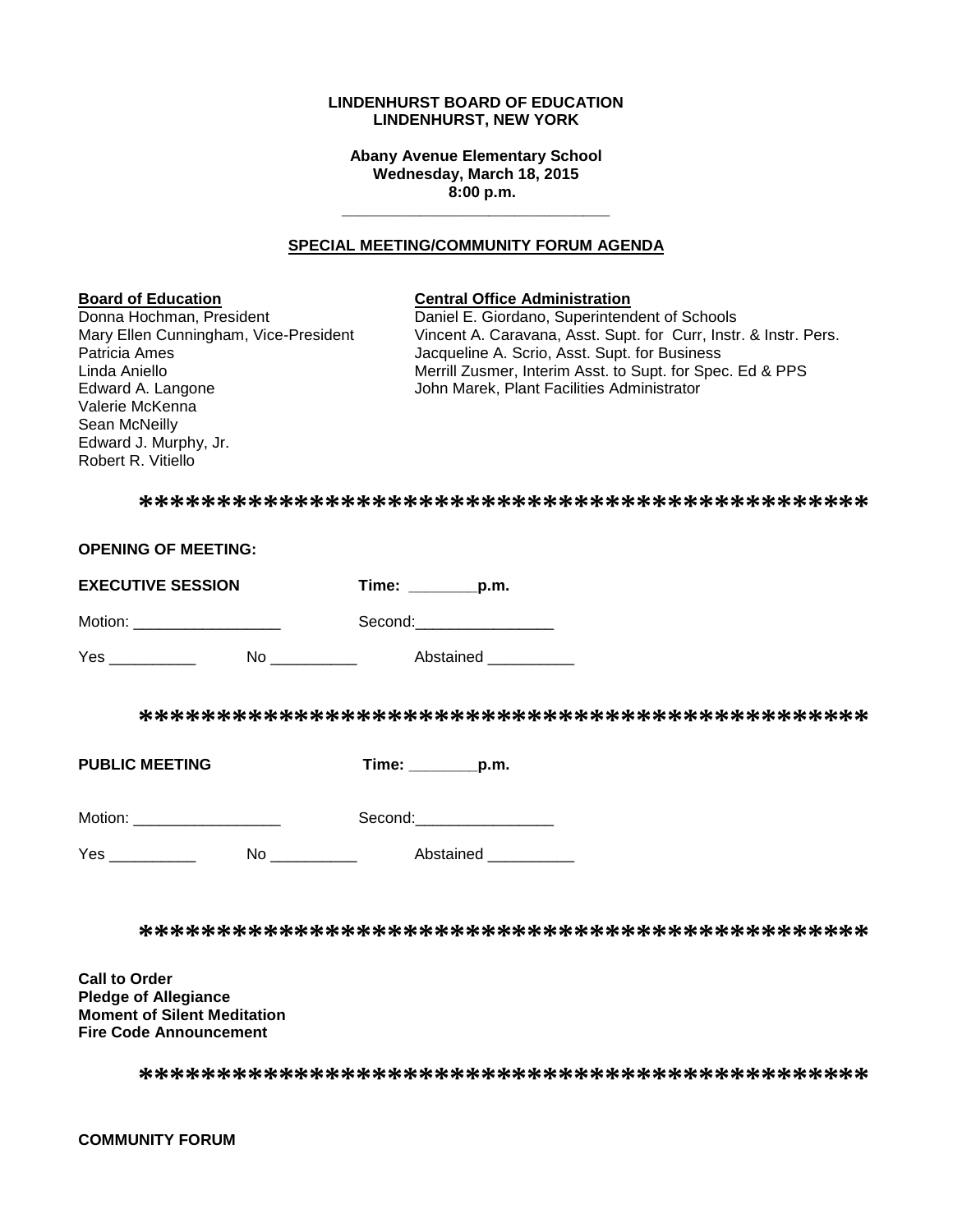#### **LINDENHURST BOARD OF EDUCATION LINDENHURST, NEW YORK**

**Abany Avenue Elementary School Wednesday, March 18, 2015 8:00 p.m.**

**\_\_\_\_\_\_\_\_\_\_\_\_\_\_\_\_\_\_\_\_\_\_\_\_\_\_\_\_\_\_\_**

#### **SPECIAL MEETING/COMMUNITY FORUM AGENDA**

Valerie McKenna Sean McNeilly Edward J. Murphy, Jr. Robert R. Vitiello

#### **Board of Education Central Office Administration**

Donna Hochman, President **Daniel E. Giordano, Superintendent of Schools**<br>Mary Ellen Cunningham, Vice-President Vincent A. Caravana, Asst. Supt. for Curr, Instr Mary Ellen Cunningham, Vice-President Vincent A. Caravana, Asst. Supt. for Curr, Instr. & Instr. Pers.<br>Patricia Ames dacqueline A. Scrio, Asst. Supt. for Business Jacqueline A. Scrio, Asst. Supt. for Business Linda Aniello<br>
Edward A. Langone **Merrill Zusmer, Interim Asst. to Supt. for Spec. Ed & PPS**<br>
John Marek, Plant Facilities Administrator John Marek, Plant Facilities Administrator

**\*\*\*\*\*\*\*\*\*\*\*\*\*\*\*\*\*\*\*\*\*\*\*\*\*\*\*\*\*\*\*\*\*\*\*\*\*\*\*\*\*\*\*\*\*\*\***

| <b>OPENING OF MEETING:</b>     |                                             |
|--------------------------------|---------------------------------------------|
| <b>EXECUTIVE SESSION</b>       | Time: _________p.m.                         |
| Motion: _____________________  | Second: ___________________                 |
| Yes ___________                | No ________________  Abstained ____________ |
|                                |                                             |
| <b>PUBLIC MEETING</b>          | $Time:$ p.m.                                |
| Motion: ______________________ | Second:____________________                 |
| Yes ____________               | No Abstained                                |
|                                |                                             |
| <b>Call to Order</b>           |                                             |

**Pledge of Allegiance Moment of Silent Meditation Fire Code Announcement**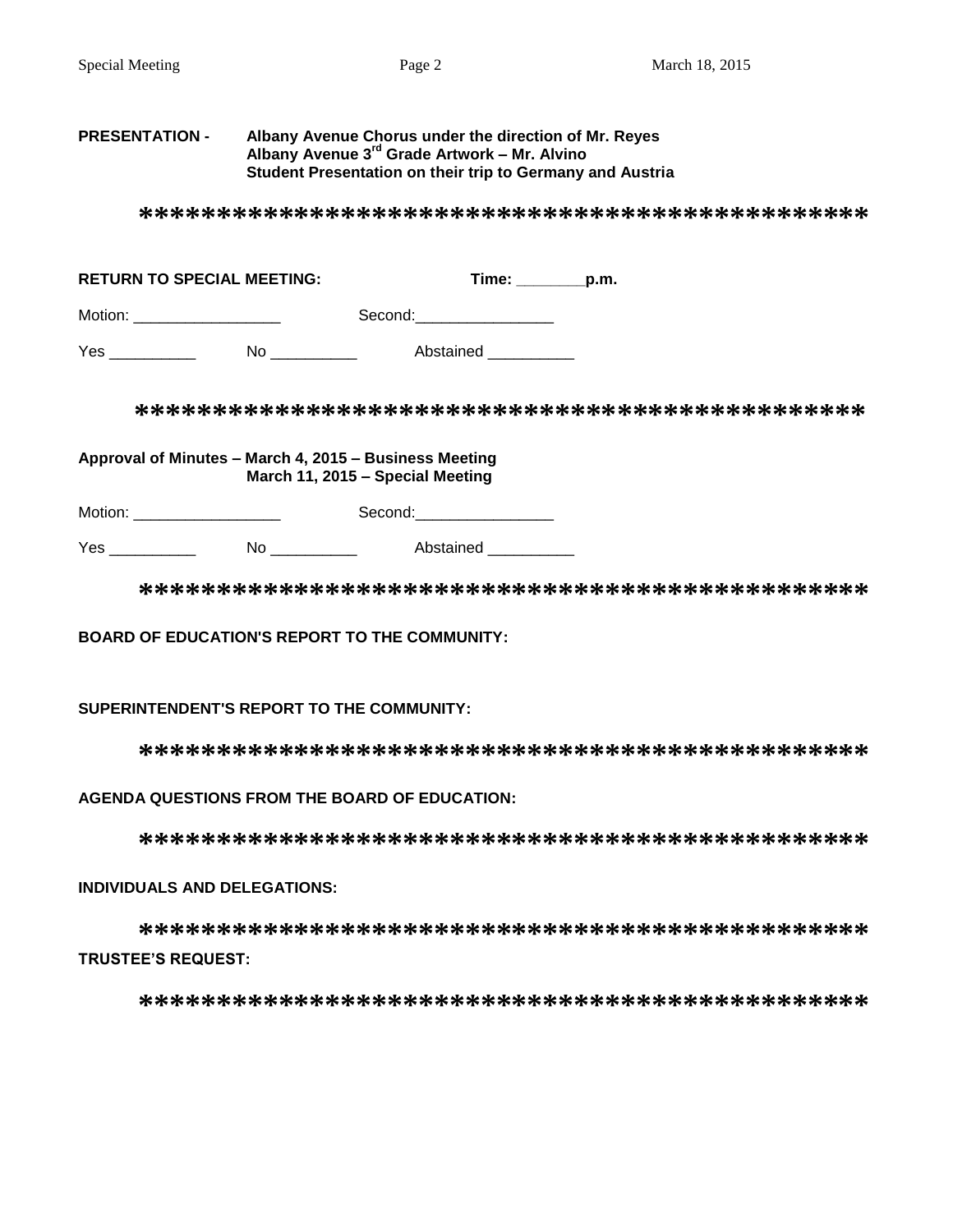#### **PRESENTATION - Albany Avenue Chorus under the direction of Mr. Reyes Albany Avenue 3rd Grade Artwork – Mr. Alvino Student Presentation on their trip to Germany and Austria**

**\*\*\*\*\*\*\*\*\*\*\*\*\*\*\*\*\*\*\*\*\*\*\*\*\*\*\*\*\*\*\*\*\*\*\*\*\*\*\*\*\*\*\*\*\*\*\***

| <b>RETURN TO SPECIAL MEETING:</b> |    | Time:     | p.m. |
|-----------------------------------|----|-----------|------|
| Motion:                           |    | Second:   |      |
| Yes                               | No | Abstained |      |

**\*\*\*\*\*\*\*\*\*\*\*\*\*\*\*\*\*\*\*\*\*\*\*\*\*\*\*\*\*\*\*\*\*\*\*\*\*\*\*\*\*\*\*\*\*\*\***

**Approval of Minutes – March 4, 2015 – Business Meeting March 11, 2015 – Special Meeting**

Motion: \_\_\_\_\_\_\_\_\_\_\_\_\_\_\_\_\_ Second:\_\_\_\_\_\_\_\_\_\_\_\_\_\_\_\_

Yes \_\_\_\_\_\_\_\_\_\_\_\_ No \_\_\_\_\_\_\_\_\_ Abstained \_\_\_\_\_\_\_\_

**\*\*\*\*\*\*\*\*\*\*\*\*\*\*\*\*\*\*\*\*\*\*\*\*\*\*\*\*\*\*\*\*\*\*\*\*\*\*\*\*\*\*\*\*\*\*\***

#### **BOARD OF EDUCATION'S REPORT TO THE COMMUNITY:**

#### **SUPERINTENDENT'S REPORT TO THE COMMUNITY:**

**\*\*\*\*\*\*\*\*\*\*\*\*\*\*\*\*\*\*\*\*\*\*\*\*\*\*\*\*\*\*\*\*\*\*\*\*\*\*\*\*\*\*\*\*\*\*\***

#### **AGENDA QUESTIONS FROM THE BOARD OF EDUCATION:**

**\*\*\*\*\*\*\*\*\*\*\*\*\*\*\*\*\*\*\*\*\*\*\*\*\*\*\*\*\*\*\*\*\*\*\*\*\*\*\*\*\*\*\*\*\*\*\***

#### **INDIVIDUALS AND DELEGATIONS:**

**\*\*\*\*\*\*\*\*\*\*\*\*\*\*\*\*\*\*\*\*\*\*\*\*\*\*\*\*\*\*\*\*\*\*\*\*\*\*\*\*\*\*\*\*\*\*\* TRUSTEE'S REQUEST:**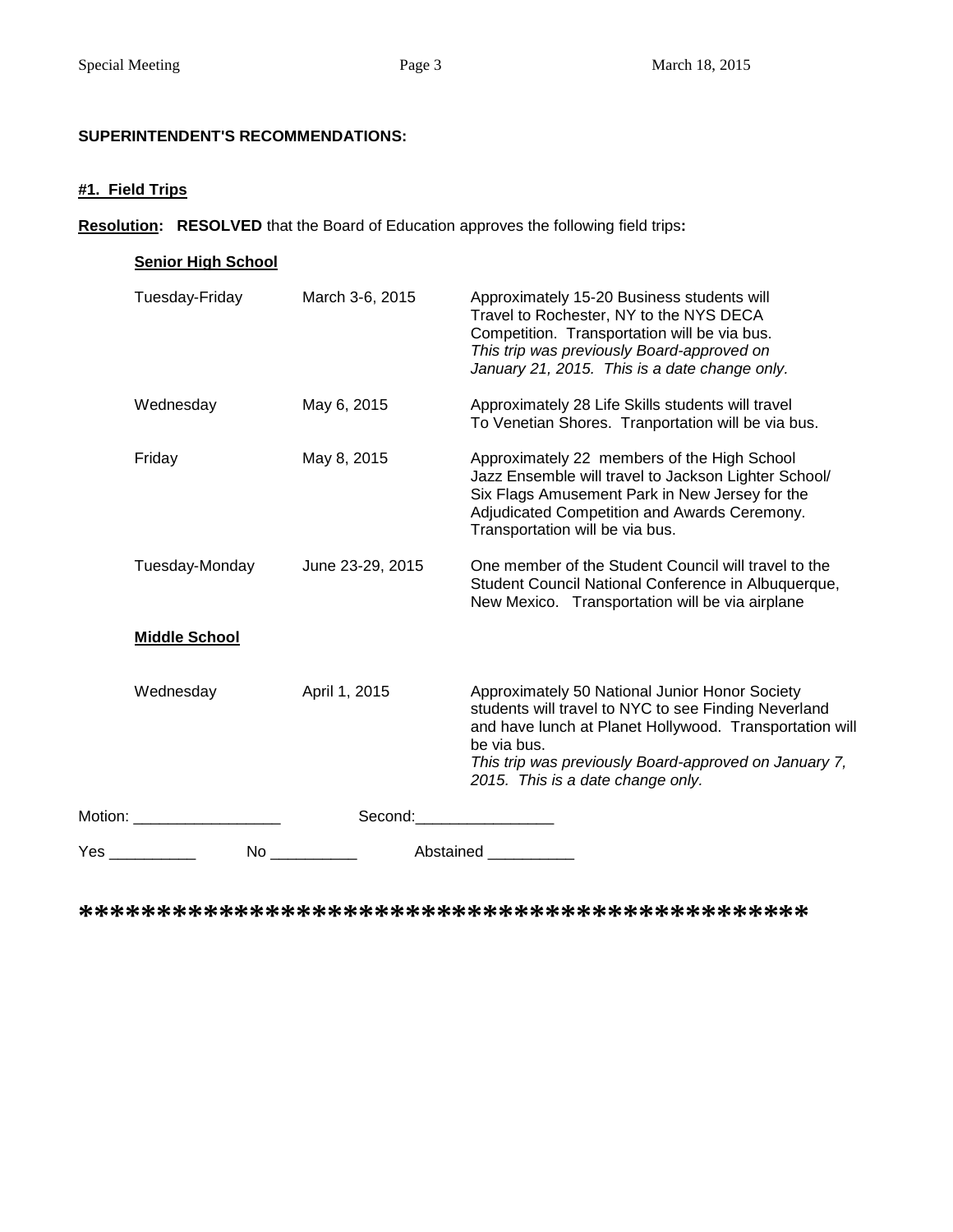# **SUPERINTENDENT'S RECOMMENDATIONS:**

# **#1. Field Trips**

**Resolution: RESOLVED** that the Board of Education approves the following field trips**:**

|           | <b>Senior High School</b> |                  |                                                                                                                                                                                                                                                                                |
|-----------|---------------------------|------------------|--------------------------------------------------------------------------------------------------------------------------------------------------------------------------------------------------------------------------------------------------------------------------------|
|           | Tuesday-Friday            | March 3-6, 2015  | Approximately 15-20 Business students will<br>Travel to Rochester, NY to the NYS DECA<br>Competition. Transportation will be via bus.<br>This trip was previously Board-approved on<br>January 21, 2015. This is a date change only.                                           |
|           | Wednesday                 | May 6, 2015      | Approximately 28 Life Skills students will travel<br>To Venetian Shores. Tranportation will be via bus.                                                                                                                                                                        |
|           | Friday                    | May 8, 2015      | Approximately 22 members of the High School<br>Jazz Ensemble will travel to Jackson Lighter School/<br>Six Flags Amusement Park in New Jersey for the<br>Adjudicated Competition and Awards Ceremony.<br>Transportation will be via bus.                                       |
|           | Tuesday-Monday            | June 23-29, 2015 | One member of the Student Council will travel to the<br>Student Council National Conference in Albuquerque,<br>New Mexico. Transportation will be via airplane                                                                                                                 |
|           | <b>Middle School</b>      |                  |                                                                                                                                                                                                                                                                                |
|           | Wednesday                 | April 1, 2015    | Approximately 50 National Junior Honor Society<br>students will travel to NYC to see Finding Neverland<br>and have lunch at Planet Hollywood. Transportation will<br>be via bus.<br>This trip was previously Board-approved on January 7,<br>2015. This is a date change only. |
|           | Motion: <b>Motion</b>     | Second:          |                                                                                                                                                                                                                                                                                |
| Yes _____ | No l                      |                  | Abstained _________                                                                                                                                                                                                                                                            |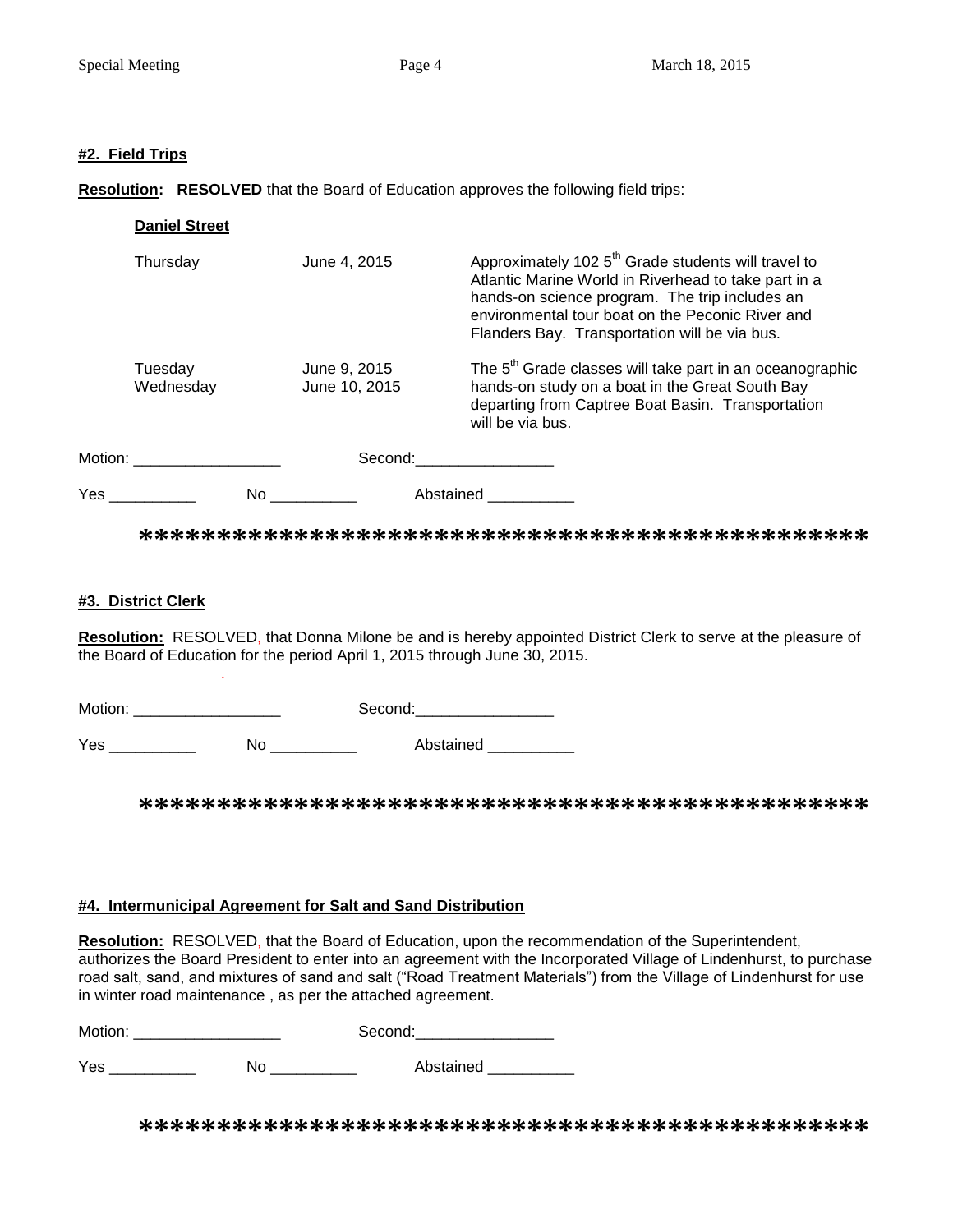#### **#2. Field Trips**

**Resolution: RESOLVED** that the Board of Education approves the following field trips:

|          | <b>Daniel Street</b>        |      |                               |           |                                                                                                                                                                                                                                                                                |
|----------|-----------------------------|------|-------------------------------|-----------|--------------------------------------------------------------------------------------------------------------------------------------------------------------------------------------------------------------------------------------------------------------------------------|
|          | Thursday                    |      | June 4, 2015                  |           | Approximately 102 5 <sup>th</sup> Grade students will travel to<br>Atlantic Marine World in Riverhead to take part in a<br>hands-on science program. The trip includes an<br>environmental tour boat on the Peconic River and<br>Flanders Bay. Transportation will be via bus. |
|          | Tuesday<br>Wednesday        |      | June 9, 2015<br>June 10, 2015 |           | The 5 <sup>th</sup> Grade classes will take part in an oceanographic<br>hands-on study on a boat in the Great South Bay<br>departing from Captree Boat Basin. Transportation<br>will be via bus.                                                                               |
|          | Motion: ___________________ |      |                               |           | Second: with the second of the second of the second of the second of the second of the second of the second of the second of the second of the second of the second of the second of the second of the second of the second of                                                 |
| $Yes$ __ |                             | No l |                               | Abstained |                                                                                                                                                                                                                                                                                |

**\*\*\*\*\*\*\*\*\*\*\*\*\*\*\*\*\*\*\*\*\*\*\*\*\*\*\*\*\*\*\*\*\*\*\*\*\*\*\*\*\*\*\*\*\*\*\***

#### **#3. District Clerk**

.

**Resolution:** RESOLVED, that Donna Milone be and is hereby appointed District Clerk to serve at the pleasure of the Board of Education for the period April 1, 2015 through June 30, 2015.

Motion: \_\_\_\_\_\_\_\_\_\_\_\_\_\_\_\_\_ Second:\_\_\_\_\_\_\_\_\_\_\_\_\_\_\_\_

Yes \_\_\_\_\_\_\_\_\_\_\_\_\_ No \_\_\_\_\_\_\_\_\_\_\_ Abstained \_\_\_\_\_\_\_\_\_\_

**\*\*\*\*\*\*\*\*\*\*\*\*\*\*\*\*\*\*\*\*\*\*\*\*\*\*\*\*\*\*\*\*\*\*\*\*\*\*\*\*\*\*\*\*\*\*\***

#### **#4. Intermunicipal Agreement for Salt and Sand Distribution**

**Resolution:** RESOLVED, that the Board of Education, upon the recommendation of the Superintendent, authorizes the Board President to enter into an agreement with the Incorporated Village of Lindenhurst, to purchase road salt, sand, and mixtures of sand and salt ("Road Treatment Materials") from the Village of Lindenhurst for use in winter road maintenance , as per the attached agreement.

Motion: \_\_\_\_\_\_\_\_\_\_\_\_\_\_\_\_\_ Second:\_\_\_\_\_\_\_\_\_\_\_\_\_\_\_\_

Yes \_\_\_\_\_\_\_\_\_\_\_\_\_ No \_\_\_\_\_\_\_\_\_\_\_ Abstained \_\_\_\_\_\_\_\_\_\_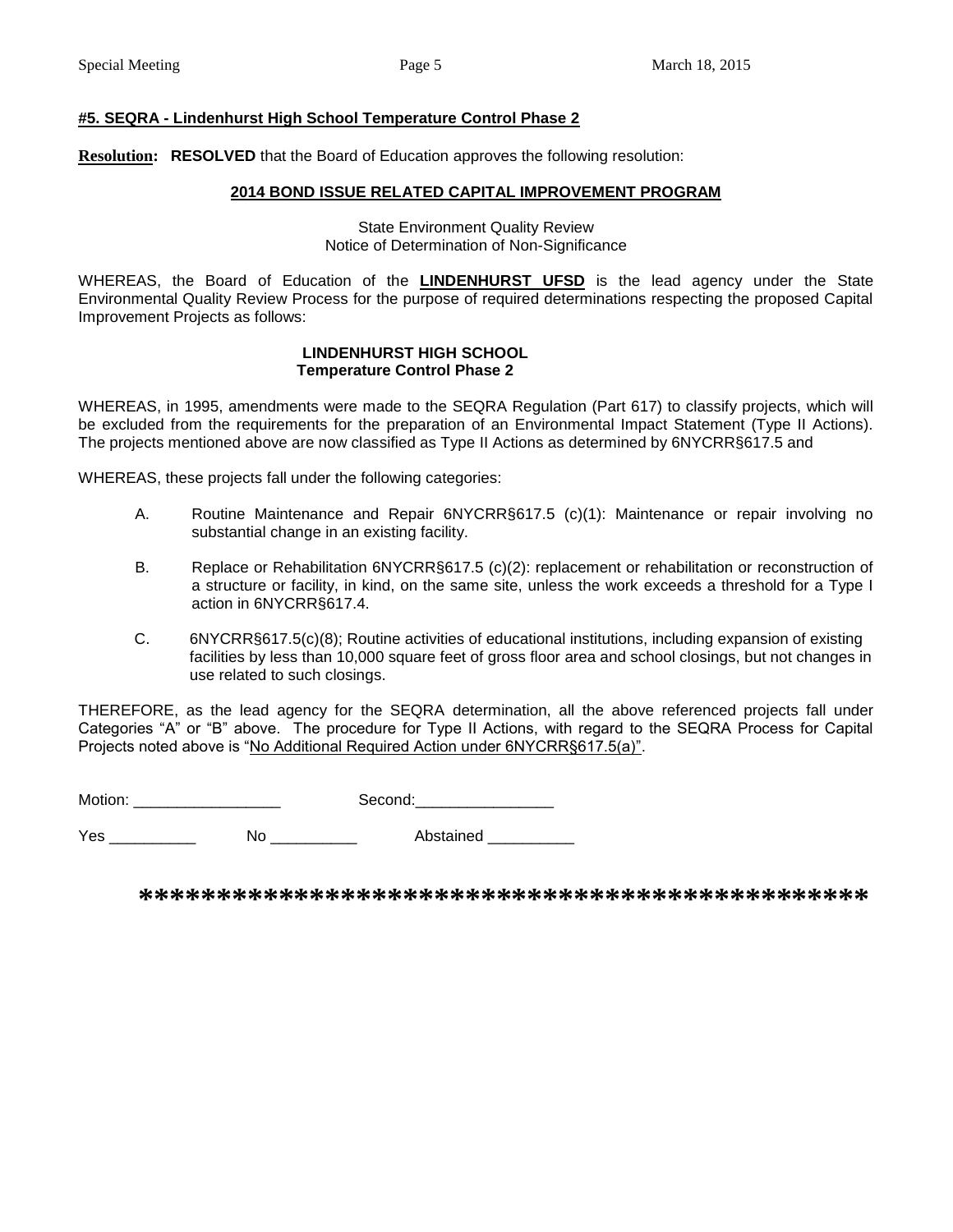#### **#5. SEQRA - Lindenhurst High School Temperature Control Phase 2**

**Resolution: RESOLVED** that the Board of Education approves the following resolution:

#### **2014 BOND ISSUE RELATED CAPITAL IMPROVEMENT PROGRAM**

State Environment Quality Review Notice of Determination of Non-Significance

WHEREAS, the Board of Education of the **LINDENHURST UFSD** is the lead agency under the State Environmental Quality Review Process for the purpose of required determinations respecting the proposed Capital Improvement Projects as follows:

#### **LINDENHURST HIGH SCHOOL Temperature Control Phase 2**

WHEREAS, in 1995, amendments were made to the SEQRA Regulation (Part 617) to classify projects, which will be excluded from the requirements for the preparation of an Environmental Impact Statement (Type II Actions). The projects mentioned above are now classified as Type II Actions as determined by 6NYCRR§617.5 and

WHEREAS, these projects fall under the following categories:

- A. Routine Maintenance and Repair 6NYCRR§617.5 (c)(1): Maintenance or repair involving no substantial change in an existing facility.
- B. Replace or Rehabilitation 6NYCRR§617.5 (c)(2): replacement or rehabilitation or reconstruction of a structure or facility, in kind, on the same site, unless the work exceeds a threshold for a Type I action in 6NYCRR§617.4.
- C. 6NYCRR§617.5(c)(8); Routine activities of educational institutions, including expansion of existing facilities by less than 10,000 square feet of gross floor area and school closings, but not changes in use related to such closings.

THEREFORE, as the lead agency for the SEQRA determination, all the above referenced projects fall under Categories "A" or "B" above. The procedure for Type II Actions, with regard to the SEQRA Process for Capital Projects noted above is "No Additional Required Action under 6NYCRR§617.5(a)".

Motion: \_\_\_\_\_\_\_\_\_\_\_\_\_\_\_\_\_ Second:\_\_\_\_\_\_\_\_\_\_\_\_\_\_\_\_

Yes \_\_\_\_\_\_\_\_\_\_\_\_\_ No \_\_\_\_\_\_\_\_\_\_\_ Abstained \_\_\_\_\_\_\_\_\_\_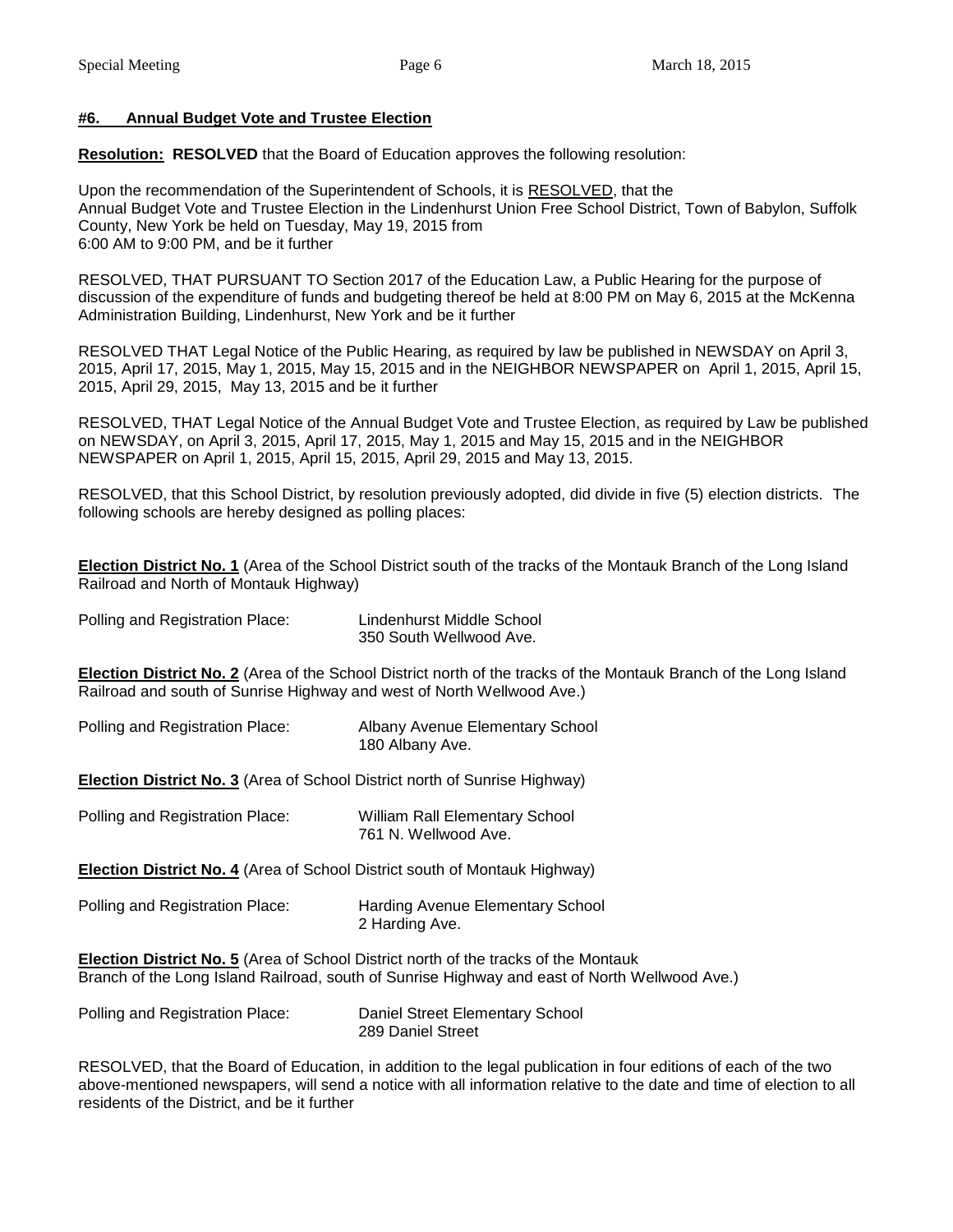#### **#6. Annual Budget Vote and Trustee Election**

**Resolution: RESOLVED** that the Board of Education approves the following resolution:

Upon the recommendation of the Superintendent of Schools, it is RESOLVED, that the Annual Budget Vote and Trustee Election in the Lindenhurst Union Free School District, Town of Babylon, Suffolk County, New York be held on Tuesday, May 19, 2015 from 6:00 AM to 9:00 PM, and be it further

RESOLVED, THAT PURSUANT TO Section 2017 of the Education Law, a Public Hearing for the purpose of discussion of the expenditure of funds and budgeting thereof be held at 8:00 PM on May 6, 2015 at the McKenna Administration Building, Lindenhurst, New York and be it further

RESOLVED THAT Legal Notice of the Public Hearing, as required by law be published in NEWSDAY on April 3, 2015, April 17, 2015, May 1, 2015, May 15, 2015 and in the NEIGHBOR NEWSPAPER on April 1, 2015, April 15, 2015, April 29, 2015, May 13, 2015 and be it further

RESOLVED, THAT Legal Notice of the Annual Budget Vote and Trustee Election, as required by Law be published on NEWSDAY, on April 3, 2015, April 17, 2015, May 1, 2015 and May 15, 2015 and in the NEIGHBOR NEWSPAPER on April 1, 2015, April 15, 2015, April 29, 2015 and May 13, 2015.

RESOLVED, that this School District, by resolution previously adopted, did divide in five (5) election districts. The following schools are hereby designed as polling places:

**Election District No. 1** (Area of the School District south of the tracks of the Montauk Branch of the Long Island Railroad and North of Montauk Highway)

| Polling and Registration Place: | Lindenhurst Middle School |
|---------------------------------|---------------------------|
|                                 | 350 South Wellwood Ave.   |

**Election District No. 2** (Area of the School District north of the tracks of the Montauk Branch of the Long Island Railroad and south of Sunrise Highway and west of North Wellwood Ave.)

| Polling and Registration Place: | Albany Avenue Elementary School |
|---------------------------------|---------------------------------|
|                                 | 180 Albany Ave.                 |

**Election District No. 3** (Area of School District north of Sunrise Highway)

| Polling and Registration Place: | <b>William Rall Elementary School</b> |
|---------------------------------|---------------------------------------|
|                                 | 761 N. Wellwood Ave.                  |

**Election District No. 4** (Area of School District south of Montauk Highway)

| Polling and Registration Place: | <b>Harding Avenue Elementary School</b> |
|---------------------------------|-----------------------------------------|
|                                 | 2 Harding Ave.                          |

**Election District No. 5** (Area of School District north of the tracks of the Montauk Branch of the Long Island Railroad, south of Sunrise Highway and east of North Wellwood Ave.)

| Polling and Registration Place: | Daniel Street Elementary School |
|---------------------------------|---------------------------------|
|                                 | 289 Daniel Street               |

RESOLVED, that the Board of Education, in addition to the legal publication in four editions of each of the two above-mentioned newspapers, will send a notice with all information relative to the date and time of election to all residents of the District, and be it further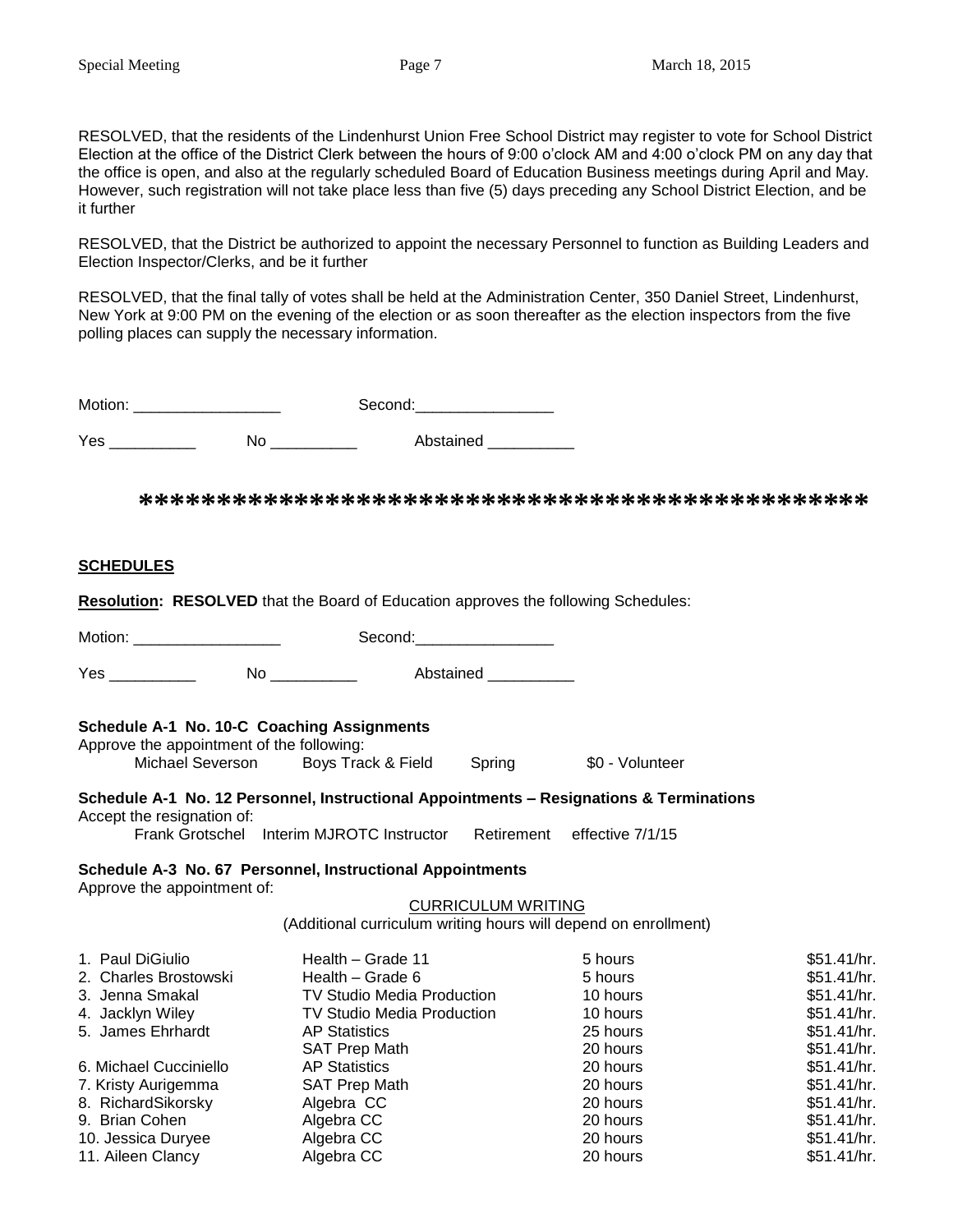RESOLVED, that the residents of the Lindenhurst Union Free School District may register to vote for School District Election at the office of the District Clerk between the hours of 9:00 o'clock AM and 4:00 o'clock PM on any day that the office is open, and also at the regularly scheduled Board of Education Business meetings during April and May. However, such registration will not take place less than five (5) days preceding any School District Election, and be it further

RESOLVED, that the District be authorized to appoint the necessary Personnel to function as Building Leaders and Election Inspector/Clerks, and be it further

RESOLVED, that the final tally of votes shall be held at the Administration Center, 350 Daniel Street, Lindenhurst, New York at 9:00 PM on the evening of the election or as soon thereafter as the election inspectors from the five polling places can supply the necessary information.

Motion: \_\_\_\_\_\_\_\_\_\_\_\_\_\_\_\_\_ Second:\_\_\_\_\_\_\_\_\_\_\_\_\_\_\_\_

Yes \_\_\_\_\_\_\_\_\_\_\_\_ No \_\_\_\_\_\_\_\_\_ Abstained \_\_\_\_\_\_\_\_

**\*\*\*\*\*\*\*\*\*\*\*\*\*\*\*\*\*\*\*\*\*\*\*\*\*\*\*\*\*\*\*\*\*\*\*\*\*\*\*\*\*\*\*\*\*\*\***

#### **SCHEDULES**

**Resolution: RESOLVED** that the Board of Education approves the following Schedules:

Motion: \_\_\_\_\_\_\_\_\_\_\_\_\_\_\_\_\_\_\_\_\_\_\_\_ Second: \_\_\_\_\_\_\_\_\_\_\_\_\_\_\_\_\_\_

Yes \_\_\_\_\_\_\_\_\_\_\_\_\_\_ No \_\_\_\_\_\_\_\_\_\_\_ Abstained \_\_\_\_\_\_\_\_\_\_

#### **Schedule A-1 No. 10-C Coaching Assignments**

Approve the appointment of the following: Michael Severson Boys Track & Field Spring \$0 - Volunteer

### **Schedule A-1 No. 12 Personnel, Instructional Appointments – Resignations & Terminations** Accept the resignation of:

Frank Grotschel Interim MJROTC Instructor Retirement effective 7/1/15

# **Schedule A-3 No. 67 Personnel, Instructional Appointments**

Approve the appointment of:

#### CURRICULUM WRITING

(Additional curriculum writing hours will depend on enrollment)

| 1. Paul DiGiulio       | Health - Grade 11                 | 5 hours  | \$51.41/hr. |
|------------------------|-----------------------------------|----------|-------------|
| 2. Charles Brostowski  | Health – Grade 6                  | 5 hours  | \$51.41/hr. |
| 3. Jenna Smakal        | <b>TV Studio Media Production</b> | 10 hours | \$51.41/hr. |
| 4. Jacklyn Wiley       | <b>TV Studio Media Production</b> | 10 hours | \$51.41/hr. |
| 5. James Ehrhardt      | <b>AP Statistics</b>              | 25 hours | \$51.41/hr. |
|                        | <b>SAT Prep Math</b>              | 20 hours | \$51.41/hr. |
| 6. Michael Cucciniello | <b>AP Statistics</b>              | 20 hours | \$51.41/hr. |
| 7. Kristy Aurigemma    | <b>SAT Prep Math</b>              | 20 hours | \$51.41/hr. |
| 8. RichardSikorsky     | Algebra CC                        | 20 hours | \$51.41/hr. |
| 9. Brian Cohen         | Algebra CC                        | 20 hours | \$51.41/hr. |
| 10. Jessica Duryee     | Algebra CC                        | 20 hours | \$51.41/hr. |
| 11. Aileen Clancy      | Algebra CC                        | 20 hours | \$51.41/hr. |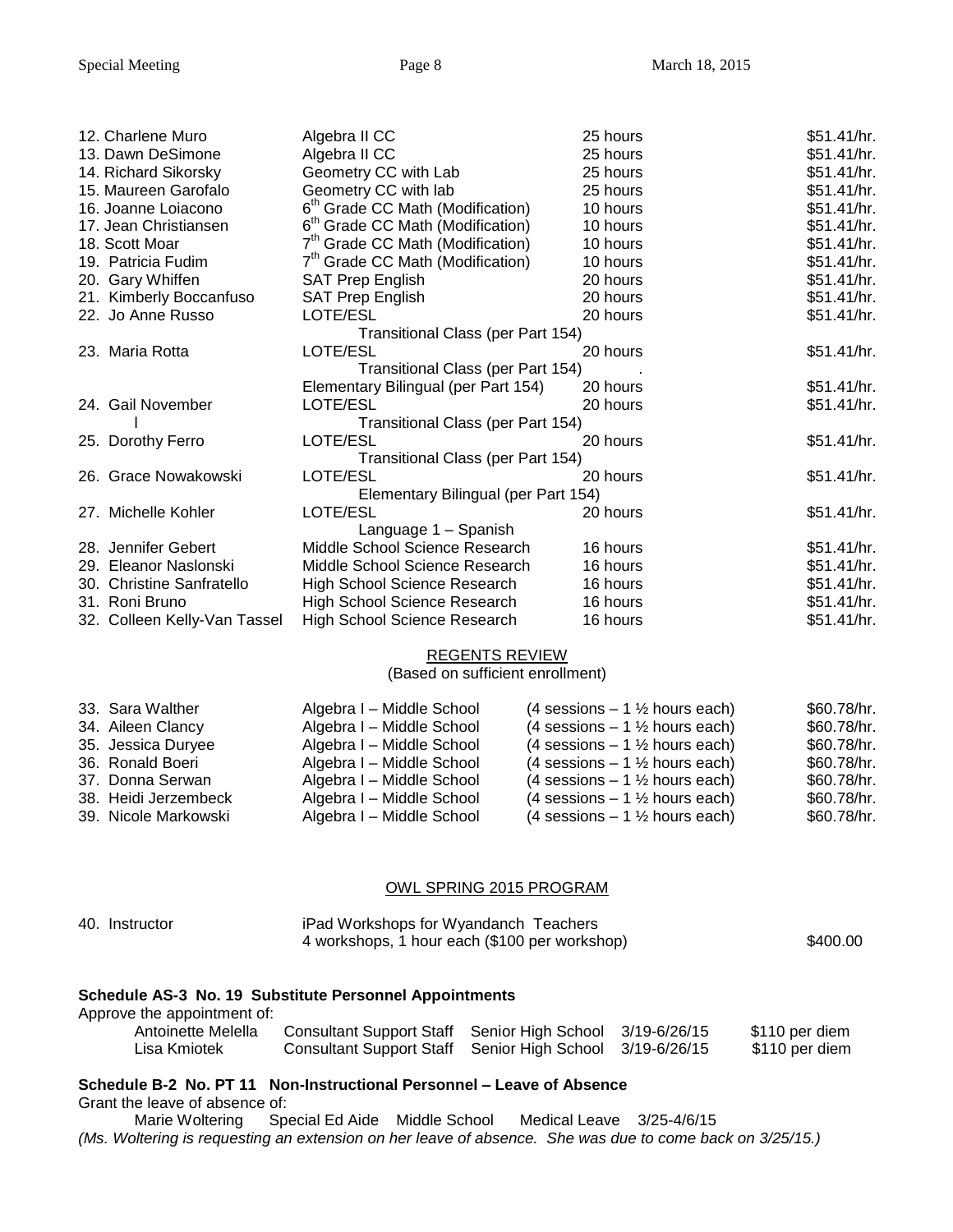| 12. Charlene Muro            | Algebra II CC                                | 25 hours | \$51.41/hr. |
|------------------------------|----------------------------------------------|----------|-------------|
| 13. Dawn DeSimone            | Algebra II CC                                | 25 hours | \$51.41/hr. |
| 14. Richard Sikorsky         | Geometry CC with Lab                         | 25 hours | \$51.41/hr. |
| 15. Maureen Garofalo         | Geometry CC with lab                         | 25 hours | \$51.41/hr. |
| 16. Joanne Loiacono          | 6 <sup>th</sup> Grade CC Math (Modification) | 10 hours | \$51.41/hr. |
| 17. Jean Christiansen        | 6 <sup>th</sup> Grade CC Math (Modification) | 10 hours | \$51.41/hr. |
| 18. Scott Moar               | 7 <sup>th</sup> Grade CC Math (Modification) | 10 hours | \$51.41/hr. |
| 19. Patricia Fudim           | 7 <sup>th</sup> Grade CC Math (Modification) | 10 hours | \$51.41/hr. |
| 20. Gary Whiffen             | <b>SAT Prep English</b>                      | 20 hours | \$51.41/hr. |
| 21. Kimberly Boccanfuso      | <b>SAT Prep English</b>                      | 20 hours | \$51.41/hr. |
| 22. Jo Anne Russo            | LOTE/ESL                                     | 20 hours | \$51.41/hr. |
|                              | Transitional Class (per Part 154)            |          |             |
| 23. Maria Rotta              | LOTE/ESL                                     | 20 hours | \$51.41/hr. |
|                              | Transitional Class (per Part 154)            |          |             |
|                              | Elementary Bilingual (per Part 154)          | 20 hours | \$51.41/hr. |
| 24. Gail November            | LOTE/ESL                                     | 20 hours | \$51.41/hr. |
|                              | Transitional Class (per Part 154)            |          |             |
| 25. Dorothy Ferro            | LOTE/ESL                                     | 20 hours | \$51.41/hr. |
|                              | Transitional Class (per Part 154)            |          |             |
| 26. Grace Nowakowski         | LOTE/ESL                                     | 20 hours | \$51.41/hr. |
|                              | Elementary Bilingual (per Part 154)          |          |             |
| 27. Michelle Kohler          | LOTE/ESL                                     | 20 hours | \$51.41/hr. |
|                              | Language 1 - Spanish                         |          |             |
| 28. Jennifer Gebert          | Middle School Science Research               | 16 hours | \$51.41/hr. |
| 29. Eleanor Naslonski        | Middle School Science Research               | 16 hours | \$51.41/hr. |
| 30. Christine Sanfratello    | High School Science Research                 | 16 hours | \$51.41/hr. |
| 31. Roni Bruno               | High School Science Research                 | 16 hours | \$51.41/hr. |
| 32. Colleen Kelly-Van Tassel | High School Science Research                 | 16 hours | \$51.41/hr. |

#### REGENTS REVIEW

(Based on sufficient enrollment)

| 33. Sara Walther     | Algebra I - Middle School | $(4$ sessions $-1\frac{1}{2}$ hours each) | \$60.78/hr. |
|----------------------|---------------------------|-------------------------------------------|-------------|
| 34. Aileen Clancy    | Algebra I - Middle School | (4 sessions $-1\frac{1}{2}$ hours each)   | \$60.78/hr. |
| 35. Jessica Duryee   | Algebra I - Middle School | $(4$ sessions $-1\frac{1}{2}$ hours each) | \$60.78/hr. |
| 36. Ronald Boeri     | Algebra I - Middle School | $(4$ sessions $-1\frac{1}{2}$ hours each) | \$60.78/hr. |
| 37. Donna Serwan     | Algebra I - Middle School | (4 sessions $-1\frac{1}{2}$ hours each)   | \$60.78/hr. |
| 38. Heidi Jerzembeck | Algebra I - Middle School | $(4$ sessions $-1\frac{1}{2}$ hours each) | \$60.78/hr. |
| 39. Nicole Markowski | Algebra I - Middle School | (4 sessions $-1\frac{1}{2}$ hours each)   | \$60.78/hr. |

#### OWL SPRING 2015 PROGRAM

| 40. Instructor | iPad Workshops for Wyandanch Teachers         |          |
|----------------|-----------------------------------------------|----------|
|                | 4 workshops, 1 hour each (\$100 per workshop) | \$400.00 |

#### **Schedule AS-3 No. 19 Substitute Personnel Appointments**

| Approve the appointment of: |                                                          |  |                |
|-----------------------------|----------------------------------------------------------|--|----------------|
| Antoinette Melella          | Consultant Support Staff Senior High School 3/19-6/26/15 |  | \$110 per diem |
| Lisa Kmiotek                | Consultant Support Staff Senior High School 3/19-6/26/15 |  | \$110 per diem |

#### **Schedule B-2 No. PT 11 Non-Instructional Personnel – Leave of Absence**

Grant the leave of absence of:

Marie Woltering Special Ed Aide Middle School Medical Leave 3/25-4/6/15 *(Ms. Woltering is requesting an extension on her leave of absence. She was due to come back on 3/25/15.)*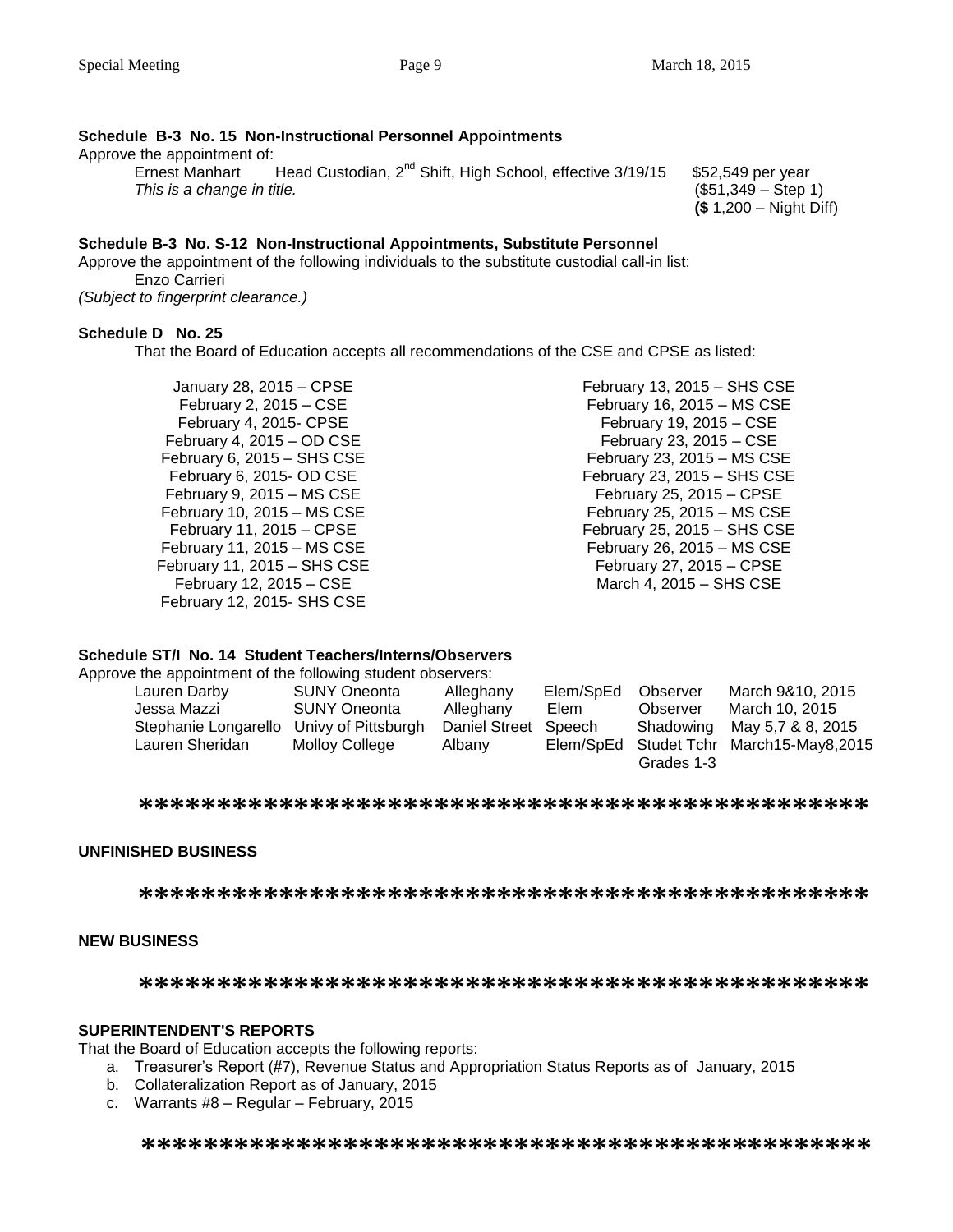## **Schedule B-3 No. 15 Non-Instructional Personnel Appointments**

Approve the appointment of:

Ernest Manhart Head Custodian,  $2^{nd}$  Shift, High School, effective 3/19/15 \$52,549 per year *This is a change in title.* (\$51,349 – Step 1)

**(\$** 1,200 – Night Diff)

#### **Schedule B-3 No. S-12 Non-Instructional Appointments, Substitute Personnel**

Approve the appointment of the following individuals to the substitute custodial call-in list: Enzo Carrieri *(Subject to fingerprint clearance.)*

#### **Schedule D No. 25**

That the Board of Education accepts all recommendations of the CSE and CPSE as listed:

January 28, 2015 – CPSE February 2, 2015 – CSE February 4, 2015- CPSE February 4, 2015 – OD CSE February 6, 2015 – SHS CSE February 6, 2015- OD CSE February 9, 2015 – MS CSE February 10, 2015 – MS CSE February 11, 2015 – CPSE February 11, 2015 – MS CSE February 11, 2015 – SHS CSE February 12, 2015 – CSE February 12, 2015- SHS CSE

February 13, 2015 – SHS CSE February 16, 2015 – MS CSE February 19, 2015 – CSE February 23, 2015 – CSE February 23, 2015 – MS CSE February 23, 2015 – SHS CSE February 25, 2015 – CPSE February 25, 2015 – MS CSE February 25, 2015 – SHS CSE February 26, 2015 – MS CSE February 27, 2015 – CPSE March 4, 2015 – SHS CSE

#### **Schedule ST/I No. 14 Student Teachers/Interns/Observers**

Approve the appointment of the following student observers:

| Lauren Darby         | <b>SUNY Oneonta</b> | Alleghany            | Elem/SpEd | Observer   | March 9&10, 2015              |
|----------------------|---------------------|----------------------|-----------|------------|-------------------------------|
| Jessa Mazzi          | <b>SUNY Oneonta</b> | Alleghany            | Elem      | Observer   | March 10, 2015                |
| Stephanie Longarello | Univy of Pittsburgh | Daniel Street Speech |           | Shadowing  | May 5,7 & 8, 2015             |
| Lauren Sheridan      | Molloy College      | Albany               | Elem/SpEd |            | Studet Tchr March15-May8,2015 |
|                      |                     |                      |           | Grades 1-3 |                               |

**\*\*\*\*\*\*\*\*\*\*\*\*\*\*\*\*\*\*\*\*\*\*\*\*\*\*\*\*\*\*\*\*\*\*\*\*\*\*\*\*\*\*\*\*\*\*\***

#### **UNFINISHED BUSINESS**

**\*\*\*\*\*\*\*\*\*\*\*\*\*\*\*\*\*\*\*\*\*\*\*\*\*\*\*\*\*\*\*\*\*\*\*\*\*\*\*\*\*\*\*\*\*\*\***

#### **NEW BUSINESS**

**\*\*\*\*\*\*\*\*\*\*\*\*\*\*\*\*\*\*\*\*\*\*\*\*\*\*\*\*\*\*\*\*\*\*\*\*\*\*\*\*\*\*\*\*\*\*\***

#### **SUPERINTENDENT'S REPORTS**

That the Board of Education accepts the following reports:

- a. Treasurer's Report (#7), Revenue Status and Appropriation Status Reports as of January, 2015
- b. Collateralization Report as of January, 2015
- c. Warrants #8 Regular February, 2015